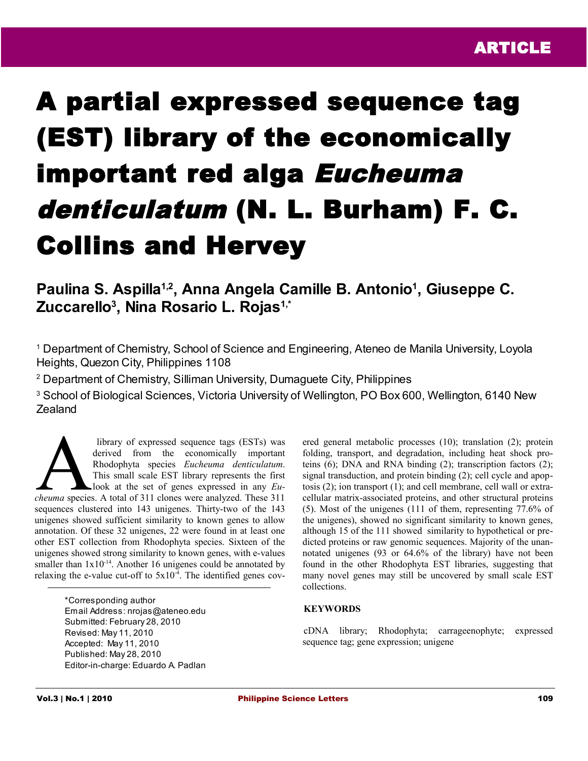# A partial expressed sequence tag (EST) library of the economically important red alga Eucheuma denticulatum (N. L. Burham) F. C. Collins and Hervey

## **Paulina S. Aspilla1,2, Anna Angela Camille B. Antonio<sup>1</sup> , Giuseppe C. Zuccarello<sup>3</sup> , Nina Rosario L. Rojas1,\***

<sup>1</sup> Department of Chemistry, School of Science and Engineering, Ateneo de Manila University, Loyola Heights, Quezon City, Philippines 1108

2 Department of Chemistry, Silliman University, Dumaguete City, Philippines

<sup>3</sup> School of Biological Sciences, Victoria University of Wellington, PO Box 600, Wellington, 6140 New Zealand

 library of expressed sequence tags (ESTs) was derived from the economically important Rhodophyta species *Eucheuma denticulatum*. This small scale EST library represents the first look at the set of genes expressed in any *Eu*library of expressed sequence tags (ESTs) was<br>derived from the economically important<br>Rhodophyta species *Eucheuma denticulatum*.<br>This small scale EST library represents the first<br>look at the set of genes expressed in any sequences clustered into 143 unigenes. Thirty-two of the 143 unigenes showed sufficient similarity to known genes to allow annotation. Of these 32 unigenes, 22 were found in at least one other EST collection from Rhodophyta species. Sixteen of the unigenes showed strong similarity to known genes, with e-values smaller than  $1x10^{-14}$ . Another 16 unigenes could be annotated by relaxing the e-value cut-off to  $5x10<sup>-4</sup>$ . The identified genes cov-

> \*Corresponding author Email Address: nrojas@ateneo.edu Submitted: February 28, 2010 Revised: May 11, 2010 Accepted: May 11, 2010 Published: May 28, 2010 Editor-in-charge: Eduardo A. Padlan

ered general metabolic processes (10); translation (2); protein folding, transport, and degradation, including heat shock proteins (6); DNA and RNA binding (2); transcription factors (2); signal transduction, and protein binding (2); cell cycle and apoptosis (2); ion transport (1); and cell membrane, cell wall or extracellular matrix-associated proteins, and other structural proteins (5). Most of the unigenes (111 of them, representing 77.6% of the unigenes), showed no significant similarity to known genes, although 15 of the 111 showed similarity to hypothetical or predicted proteins or raw genomic sequences. Majority of the unannotated unigenes (93 or 64.6% of the library) have not been found in the other Rhodophyta EST libraries, suggesting that many novel genes may still be uncovered by small scale EST collections.

### **KEYWORDS**

cDNA library; Rhodophyta; carrageenophyte; expressed sequence tag; gene expression; unigene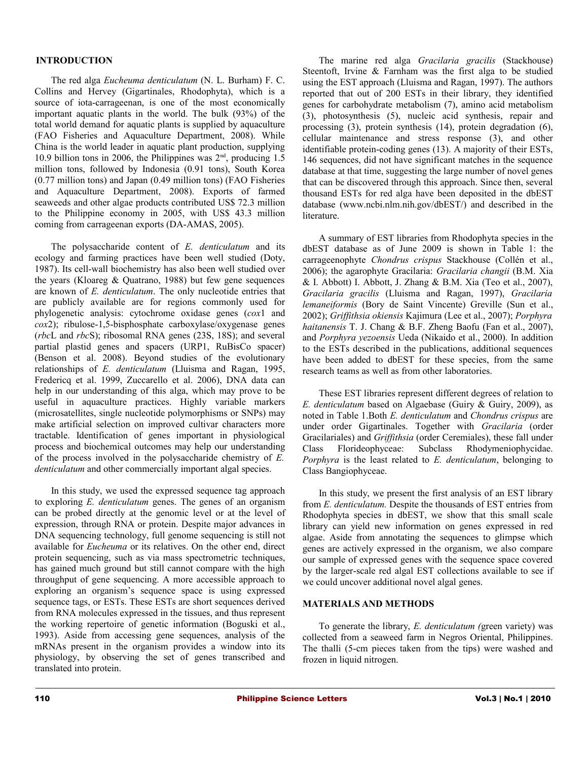### **INTRODUCTION**

The red alga *Eucheuma denticulatum* (N. L. Burham) F. C. Collins and Hervey (Gigartinales, Rhodophyta), which is a source of iota-carrageenan, is one of the most economically important aquatic plants in the world. The bulk (93%) of the total world demand for aquatic plants is supplied by aquaculture (FAO Fisheries and Aquaculture Department, 2008). While China is the world leader in aquatic plant production, supplying 10.9 billion tons in 2006, the Philippines was  $2<sup>nd</sup>$ , producing 1.5 million tons, followed by Indonesia (0.91 tons), South Korea (0.77 million tons) and Japan (0.49 million tons) (FAO Fisheries and Aquaculture Department, 2008). Exports of farmed seaweeds and other algae products contributed US\$ 72.3 million to the Philippine economy in 2005, with US\$ 43.3 million coming from carrageenan exports (DA-AMAS, 2005).

The polysaccharide content of *E. denticulatum* and its ecology and farming practices have been well studied (Doty, 1987). Its cell-wall biochemistry has also been well studied over the years (Kloareg & Quatrano, 1988) but few gene sequences are known of *E. denticulatum*. The only nucleotide entries that are publicly available are for regions commonly used for phylogenetic analysis: cytochrome oxidase genes (*cox*1 and *cox*2); ribulose-1,5-bisphosphate carboxylase/oxygenase genes (*rbc*L and *rbc*S); ribosomal RNA genes (23S, 18S); and several partial plastid genes and spacers (URP1, RuBisCo spacer) (Benson et al. 2008). Beyond studies of the evolutionary relationships of *E. denticulatum* (Lluisma and Ragan, 1995, Fredericq et al. 1999, Zuccarello et al. 2006), DNA data can help in our understanding of this alga, which may prove to be useful in aquaculture practices. Highly variable markers (microsatellites, single nucleotide polymorphisms or SNPs) may make artificial selection on improved cultivar characters more tractable. Identification of genes important in physiological process and biochemical outcomes may help our understanding of the process involved in the polysaccharide chemistry of *E. denticulatum* and other commercially important algal species.

In this study, we used the expressed sequence tag approach to exploring *E. denticulatum* genes. The genes of an organism can be probed directly at the genomic level or at the level of expression, through RNA or protein. Despite major advances in DNA sequencing technology, full genome sequencing is still not available for *Eucheuma* or its relatives. On the other end, direct protein sequencing, such as via mass spectrometric techniques, has gained much ground but still cannot compare with the high throughput of gene sequencing. A more accessible approach to exploring an organism's sequence space is using expressed sequence tags, or ESTs. These ESTs are short sequences derived from RNA molecules expressed in the tissues, and thus represent the working repertoire of genetic information (Boguski et al., 1993). Aside from accessing gene sequences, analysis of the mRNAs present in the organism provides a window into its physiology, by observing the set of genes transcribed and translated into protein.

The marine red alga *Gracilaria gracilis* (Stackhouse) Steentoft, Irvine & Farnham was the first alga to be studied using the EST approach (Lluisma and Ragan, 1997). The authors reported that out of 200 ESTs in their library, they identified genes for carbohydrate metabolism (7), amino acid metabolism (3), photosynthesis (5), nucleic acid synthesis, repair and processing (3), protein synthesis (14), protein degradation (6), cellular maintenance and stress response (3), and other identifiable protein-coding genes (13). A majority of their ESTs, 146 sequences, did not have significant matches in the sequence database at that time, suggesting the large number of novel genes that can be discovered through this approach. Since then, several thousand ESTs for red alga have been deposited in the dbEST database (www.ncbi.nlm.nih.gov/dbEST/) and described in the literature.

A summary of EST libraries from Rhodophyta species in the dbEST database as of June 2009 is shown in Table 1: the carrageenophyte *Chondrus crispus* Stackhouse (Collén et al., 2006); the agarophyte Gracilaria: *Gracilaria changii* (B.M. Xia  $&$  I. Abbott) I. Abbott, J. Zhang  $&$  B.M. Xia (Teo et al., 2007), *Gracilaria gracilis* (Lluisma and Ragan, 1997), *Gracilaria lemaneiformis* (Bory de Saint Vincente) Greville (Sun et al., 2002); *Griffithsia okiensis* Kajimura (Lee et al., 2007); *Porphyra haitanensis* T. J. Chang & B.F. Zheng Baofu (Fan et al., 2007), and *Porphyra yezoensis* Ueda (Nikaido et al., 2000). In addition to the ESTs described in the publications, additional sequences have been added to dbEST for these species, from the same research teams as well as from other laboratories.

These EST libraries represent different degrees of relation to *E. denticulatum* based on Algaebase (Guiry & Guiry, 2009), as noted in Table 1.Both *E. denticulatum* and *Chondrus crispus* are under order Gigartinales. Together with *Gracilaria* (order Gracilariales) and *Griffithsia* (order Ceremiales), these fall under Class Florideophyceae: Subclass Rhodymeniophycidae. *Porphyra* is the least related to *E. denticulatum*, belonging to Class Bangiophyceae.

In this study, we present the first analysis of an EST library from *E. denticulatum.* Despite the thousands of EST entries from Rhodophyta species in dbEST, we show that this small scale library can yield new information on genes expressed in red algae. Aside from annotating the sequences to glimpse which genes are actively expressed in the organism, we also compare our sample of expressed genes with the sequence space covered by the larger-scale red algal EST collections available to see if we could uncover additional novel algal genes.

### **MATERIALS AND METHODS**

To generate the library, *E. denticulatum (*green variety) was collected from a seaweed farm in Negros Oriental, Philippines. The thalli (5-cm pieces taken from the tips) were washed and frozen in liquid nitrogen.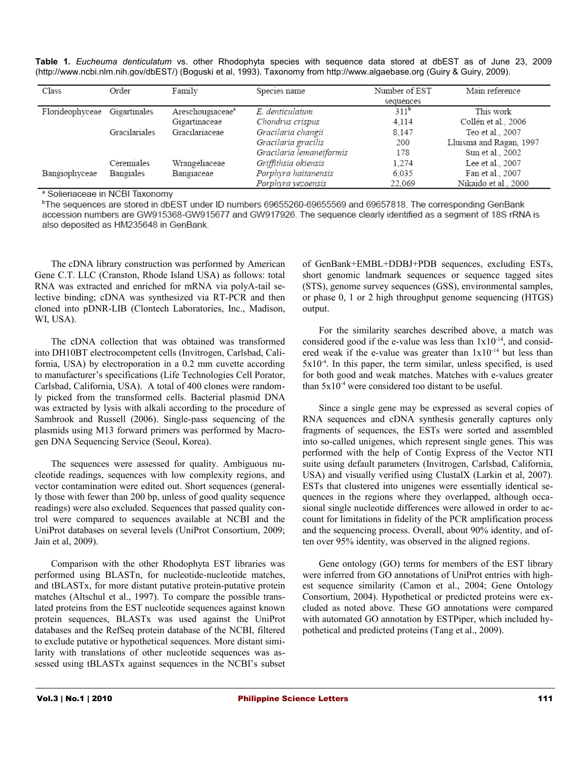|  | Table 1. Eucheuma denticulatum vs. other Rhodophyta species with sequence data stored at dbEST as of June 23, 2009        |  |  |  |  |  |  |  |  |
|--|---------------------------------------------------------------------------------------------------------------------------|--|--|--|--|--|--|--|--|
|  | (http://www.ncbi.nlm.nih.gov/dbEST/) (Boguski et al, 1993). Taxonomy from http://www.algaebase.org (Guiry & Guiry, 2009). |  |  |  |  |  |  |  |  |

| Class                        | Order         | Family                       | Species name             | Number of EST | Main reference          |
|------------------------------|---------------|------------------------------|--------------------------|---------------|-------------------------|
|                              |               |                              |                          | sequences     |                         |
| Florideophyceae Gigartinales |               | Areschougiaceae <sup>a</sup> | E. denticulatum          | $311^b$       | This work               |
|                              |               | Gigartinaceae                | Chondrus crispus         | 4.114         | Collén et al., 2006     |
|                              | Gracilariales | Gracilariaceae               | Gracilaria changii       | 8.147         | Teo et al., 2007        |
|                              |               |                              | Gracilaria gracilis      | 200           | Lluisma and Ragan, 1997 |
|                              |               |                              | Gracilaria lemaneiformis | 178           | Sun et al., 2002        |
|                              | Ceremiales    | Wrangeliaceae                | Griffithsia okiensis     | 1.274         | Lee et al., 2007        |
| Bangiophyceae                | Bangiales     | Bangiaceae                   | Porphyra haitanensis     | 6.035         | Fan et al., 2007        |
|                              |               |                              | Porphyra vezoensis       | 22.069        | Nikaido et al., 2000    |

<sup>a</sup> Solieriaceae in NCBI Taxonomy

<sup>b</sup>The sequences are stored in dbEST under ID numbers 69655260-69655569 and 69657818. The corresponding GenBank accession numbers are GW915368-GW915677 and GW917926. The sequence clearly identified as a segment of 18S rRNA is also deposited as HM235648 in GenBank.

The cDNA library construction was performed by American Gene C.T. LLC (Cranston, Rhode Island USA) as follows: total RNA was extracted and enriched for mRNA via polyA-tail selective binding; cDNA was synthesized via RT-PCR and then cloned into pDNR-LIB (Clontech Laboratories, Inc., Madison, WI, USA).

The cDNA collection that was obtained was transformed into DH10BT electrocompetent cells (Invitrogen, Carlsbad, California, USA) by electroporation in a 0.2 mm cuvette according to manufacturer's specifications (Life Technologies Cell Porator, Carlsbad, California, USA). A total of 400 clones were randomly picked from the transformed cells. Bacterial plasmid DNA was extracted by lysis with alkali according to the procedure of Sambrook and Russell (2006). Single-pass sequencing of the plasmids using M13 forward primers was performed by Macrogen DNA Sequencing Service (Seoul, Korea).

The sequences were assessed for quality. Ambiguous nucleotide readings, sequences with low complexity regions, and vector contamination were edited out. Short sequences (generally those with fewer than 200 bp, unless of good quality sequence readings) were also excluded. Sequences that passed quality control were compared to sequences available at NCBI and the UniProt databases on several levels (UniProt Consortium, 2009; Jain et al, 2009).

Comparison with the other Rhodophyta EST libraries was performed using BLASTn, for nucleotide-nucleotide matches, and tBLASTx, for more distant putative protein-putative protein matches (Altschul et al., 1997). To compare the possible translated proteins from the EST nucleotide sequences against known protein sequences, BLASTx was used against the UniProt databases and the RefSeq protein database of the NCBI, filtered to exclude putative or hypothetical sequences. More distant similarity with translations of other nucleotide sequences was assessed using tBLASTx against sequences in the NCBI's subset of GenBank+EMBL+DDBJ+PDB sequences, excluding ESTs, short genomic landmark sequences or sequence tagged sites (STS), genome survey sequences (GSS), environmental samples, or phase 0, 1 or 2 high throughput genome sequencing (HTGS) output.

For the similarity searches described above, a match was considered good if the e-value was less than  $1x10^{-14}$ , and considered weak if the e-value was greater than  $1x10^{-14}$  but less than  $5x10<sup>-4</sup>$ . In this paper, the term similar, unless specified, is used for both good and weak matches. Matches with e-values greater than  $5x10^{-4}$  were considered too distant to be useful.

Since a single gene may be expressed as several copies of RNA sequences and cDNA synthesis generally captures only fragments of sequences, the ESTs were sorted and assembled into so-called unigenes, which represent single genes. This was performed with the help of Contig Express of the Vector NTI suite using default parameters (Invitrogen, Carlsbad, California, USA) and visually verified using ClustalX (Larkin et al, 2007). ESTs that clustered into unigenes were essentially identical sequences in the regions where they overlapped, although occasional single nucleotide differences were allowed in order to account for limitations in fidelity of the PCR amplification process and the sequencing process. Overall, about 90% identity, and often over 95% identity, was observed in the aligned regions.

Gene ontology (GO) terms for members of the EST library were inferred from GO annotations of UniProt entries with highest sequence similarity (Camon et al., 2004; Gene Ontology Consortium, 2004). Hypothetical or predicted proteins were excluded as noted above. These GO annotations were compared with automated GO annotation by ESTPiper, which included hypothetical and predicted proteins (Tang et al., 2009).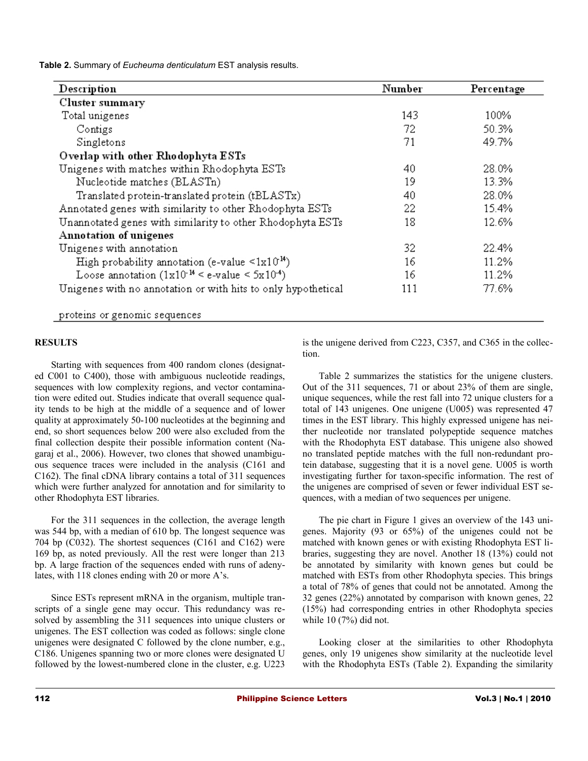**Table 2.** Summary of *Eucheuma denticulatum* EST analysis results.

| Description                                                    | Number | Percentage |
|----------------------------------------------------------------|--------|------------|
| Cluster summary                                                |        |            |
| Total unigenes                                                 | 143    | 100%       |
| Contigs                                                        | 72.    | 50.3%      |
| Singletons                                                     | 71     | 49.7%      |
| Overlap with other Rhodophyta ESTs                             |        |            |
| Unigenes with matches within Rhodophyta ESTs                   | 40     | 28.0%      |
| Nucleotide matches (BLASTn)                                    | 19     | 13.3%      |
| Translated protein-translated protein (tBLASTx)                | 40     | 28.0%      |
| Annotated genes with similarity to other Rhodophyta ESTs       | 22.    | 15.4%      |
| Unannotated genes with similarity to other Rhodophyta ESTs     | 18     | 12.6%      |
| Annotation of unigenes                                         |        |            |
| Unigenes with annotation                                       | 32     | 22.4%      |
| High probability annotation (e-value $\leq 1 \times 10^{14}$ ) | 16     | 11.2%      |
| Loose annotation $(1x10^{-14} \leq e$ -value $\leq 5x10^{-4})$ | 16     | 11.2%      |
| Unigenes with no annotation or with hits to only hypothetical  | 111    | 77.6%      |

proteins or genomic sequences

### **RESULTS**

Starting with sequences from 400 random clones (designated C001 to C400), those with ambiguous nucleotide readings, sequences with low complexity regions, and vector contamination were edited out. Studies indicate that overall sequence quality tends to be high at the middle of a sequence and of lower quality at approximately 50-100 nucleotides at the beginning and end, so short sequences below 200 were also excluded from the final collection despite their possible information content (Nagaraj et al., 2006). However, two clones that showed unambiguous sequence traces were included in the analysis (C161 and C162). The final cDNA library contains a total of 311 sequences which were further analyzed for annotation and for similarity to other Rhodophyta EST libraries.

For the 311 sequences in the collection, the average length was 544 bp, with a median of 610 bp. The longest sequence was 704 bp (C032). The shortest sequences (C161 and C162) were 169 bp, as noted previously. All the rest were longer than 213 bp. A large fraction of the sequences ended with runs of adenylates, with 118 clones ending with 20 or more A's.

Since ESTs represent mRNA in the organism, multiple transcripts of a single gene may occur. This redundancy was resolved by assembling the 311 sequences into unique clusters or unigenes. The EST collection was coded as follows: single clone unigenes were designated C followed by the clone number, e.g., C186. Unigenes spanning two or more clones were designated U followed by the lowest-numbered clone in the cluster, e.g. U223 is the unigene derived from C223, C357, and C365 in the collection.

Table 2 summarizes the statistics for the unigene clusters. Out of the 311 sequences, 71 or about 23% of them are single, unique sequences, while the rest fall into 72 unique clusters for a total of 143 unigenes. One unigene (U005) was represented 47 times in the EST library. This highly expressed unigene has neither nucleotide nor translated polypeptide sequence matches with the Rhodophyta EST database. This unigene also showed no translated peptide matches with the full non-redundant protein database, suggesting that it is a novel gene. U005 is worth investigating further for taxon-specific information. The rest of the unigenes are comprised of seven or fewer individual EST sequences, with a median of two sequences per unigene.

The pie chart in Figure 1 gives an overview of the 143 unigenes. Majority (93 or 65%) of the unigenes could not be matched with known genes or with existing Rhodophyta EST libraries, suggesting they are novel. Another 18 (13%) could not be annotated by similarity with known genes but could be matched with ESTs from other Rhodophyta species. This brings a total of 78% of genes that could not be annotated. Among the 32 genes (22%) annotated by comparison with known genes, 22 (15%) had corresponding entries in other Rhodophyta species while 10 (7%) did not.

Looking closer at the similarities to other Rhodophyta genes, only 19 unigenes show similarity at the nucleotide level with the Rhodophyta ESTs (Table 2). Expanding the similarity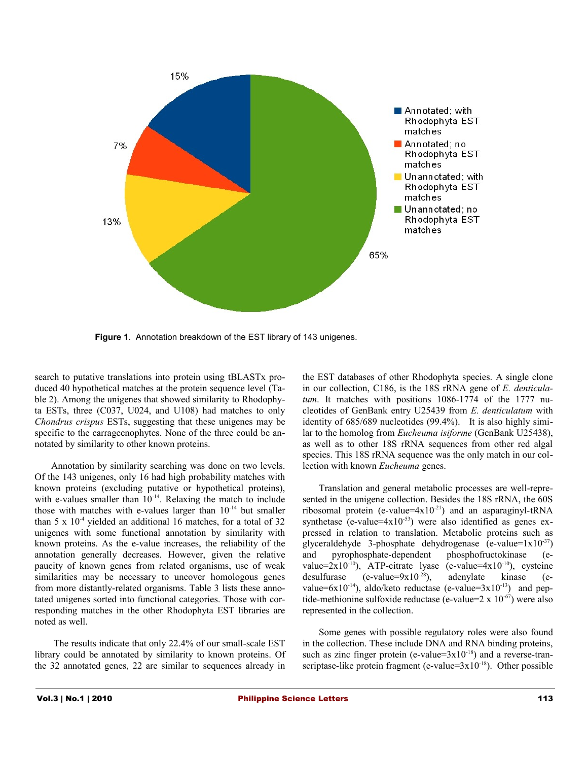

**Figure 1**. Annotation breakdown of the EST library of 143 unigenes.

search to putative translations into protein using tBLASTx produced 40 hypothetical matches at the protein sequence level (Table 2). Among the unigenes that showed similarity to Rhodophyta ESTs, three (C037, U024, and U108) had matches to only *Chondrus crispus* ESTs, suggesting that these unigenes may be specific to the carrageenophytes. None of the three could be annotated by similarity to other known proteins.

Annotation by similarity searching was done on two levels. Of the 143 unigenes, only 16 had high probability matches with known proteins (excluding putative or hypothetical proteins), with e-values smaller than  $10^{-14}$ . Relaxing the match to include those with matches with e-values larger than  $10^{-14}$  but smaller than  $5 \times 10^{-4}$  yielded an additional 16 matches, for a total of 32 unigenes with some functional annotation by similarity with known proteins. As the e-value increases, the reliability of the annotation generally decreases. However, given the relative paucity of known genes from related organisms, use of weak similarities may be necessary to uncover homologous genes from more distantly-related organisms. Table 3 lists these annotated unigenes sorted into functional categories. Those with corresponding matches in the other Rhodophyta EST libraries are noted as well.

 The results indicate that only 22.4% of our small-scale EST library could be annotated by similarity to known proteins. Of the 32 annotated genes, 22 are similar to sequences already in

the EST databases of other Rhodophyta species. A single clone in our collection, C186, is the 18S rRNA gene of *E. denticulatum*. It matches with positions 1086-1774 of the 1777 nucleotides of GenBank entry U25439 from *E. denticulatum* with identity of 685/689 nucleotides (99.4%). It is also highly similar to the homolog from *Eucheuma isiforme* (GenBank U25438), as well as to other 18S rRNA sequences from other red algal species. This 18S rRNA sequence was the only match in our collection with known *Eucheuma* genes.

Translation and general metabolic processes are well-represented in the unigene collection. Besides the 18S rRNA, the 60S ribosomal protein (e-value=4x10-21) and an asparaginyl-tRNA synthetase (e-value= $4x10^{-53}$ ) were also identified as genes expressed in relation to translation. Metabolic proteins such as glyceraldehyde 3-phosphate dehydrogenase (e-value= $1x10^{-37}$ ) and pyrophosphate-dependent phosphofructokinase (evalue= $2x10^{-10}$ ), ATP-citrate lyase (e-value= $4x10^{-10}$ ), cysteine desulfurase (e-value= $9x10^{-28}$ ), adenylate kinase (evalue=6x10<sup>-14</sup>), aldo/keto reductase (e-value=3x10<sup>-13</sup>) and peptide-methionine sulfoxide reductase (e-value= $2 \times 10^{-67}$ ) were also represented in the collection.

Some genes with possible regulatory roles were also found in the collection. These include DNA and RNA binding proteins, such as zinc finger protein (e-value= $3x10^{-18}$ ) and a reverse-transcriptase-like protein fragment (e-value= $3x10^{-18}$ ). Other possible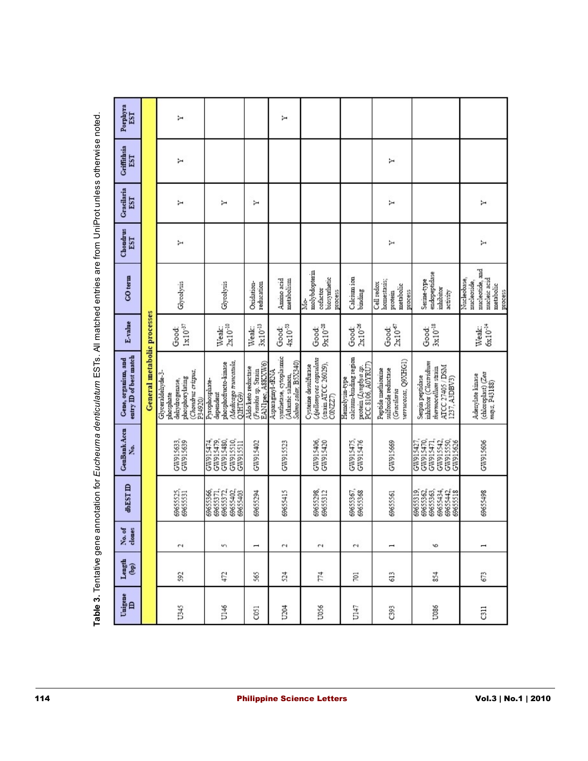| Рограута<br>EST                                      |                             | ↣                                                                                                   |                                                                                         |                                                                                      | Σ                                                                    |                                                                                  |                                                                                      |                                                                               |                                                                                                        |                                                                            |
|------------------------------------------------------|-----------------------------|-----------------------------------------------------------------------------------------------------|-----------------------------------------------------------------------------------------|--------------------------------------------------------------------------------------|----------------------------------------------------------------------|----------------------------------------------------------------------------------|--------------------------------------------------------------------------------------|-------------------------------------------------------------------------------|--------------------------------------------------------------------------------------------------------|----------------------------------------------------------------------------|
| <b>Criffithsia</b><br>EST                            |                             | ¥                                                                                                   |                                                                                         |                                                                                      |                                                                      |                                                                                  |                                                                                      | Σ                                                                             |                                                                                                        |                                                                            |
| Gracilaria<br>EST                                    |                             | ↣                                                                                                   | Σ                                                                                       | Y                                                                                    |                                                                      |                                                                                  |                                                                                      | Σ                                                                             |                                                                                                        | Σ                                                                          |
| Chondrus<br>EST                                      |                             | ↣                                                                                                   |                                                                                         |                                                                                      |                                                                      |                                                                                  |                                                                                      | ↣                                                                             |                                                                                                        | ↣                                                                          |
| CO term                                              |                             | Glycolysis                                                                                          | Glycolysis                                                                              | Oxidation-<br>reducation                                                             | Amino acid<br>metabolism                                             | molybdopterin<br>biosynthetic<br>cofactor<br>proce<br>M.                         | Calcium ion<br>binding                                                               | homestasis;<br>Cell redox<br>metabolic<br>process<br>protein                  | endopeptidase<br>Serine-type<br>inhibitor<br>activity                                                  | mucleotide, and<br>mucleic acid<br>Nucleobase,<br>nucleoside,<br>metabolic |
| E-value                                              |                             | $1\times10^{-37}$<br>Good:                                                                          | $2 \mathrm{x} 10^{\text{-}10}$<br>Weak:                                                 | $3\times10^{-13}$<br>Weak:                                                           | $4 \mathrm{x} 10^{-33}$<br>Good:                                     | $9 \times 10^{-28}$<br>Good:                                                     | $2 \mathrm{x} 10^{-26}$<br>Good:                                                     | $2 \mathrm{x} 10^{-67}$<br>Good:                                              | $3\times10^{-18}$<br>Good:                                                                             | $6x10^{-14}$<br>Weak:                                                      |
| entry <b>ID</b> of best match<br>Gene, organism, and | General metabolic processes | (Chondrus crispus,<br>Glyceraldehyde-3<br>phosphorylating<br>dehydrogenase,<br>phosphate<br>P34920) | Aledicago truncatula,<br>phosphofructo-kinase<br>Pyrophosphate-<br>dependent<br>Q2HTG9) | (Frankia sp. Strain)<br>EANI pec, ASKXW6)<br>Asparaginyl-tRNA<br>Aldo/keto reductase | synthetase, cytoplasmic<br>(Atlantic salmon,<br>Salmo salar, B5X340) | Ajellomyces capsulata<br>(strain ATCC 26029),<br>Cysteine desulfurase<br>CONZZ7) | calcium-binding region<br>protein (Lyngbya sp.<br>PCC 8106, A0YRU7)<br>Hemolysm-type | verneosas, Q9XHG1)<br>sulfoxide reductase<br>Peptide methionine<br>Gracilaria | inhibitor (Clostridium<br>ATCC 27405 / DSM<br>1237, A3DBV3)<br>thermocellum strain<br>Serpin peptidase | (chloroplast) (Zea $mag$ r, P43188)<br>Adenylate kinase                    |
| GenBank Accn<br>ź.                                   |                             | GW915633,<br>GW915639                                                                               | GW915479,<br>GW915480,<br>GW915510,<br>GW915474<br>GW915511                             | GW915402                                                                             | GW915523                                                             | GW915406,<br>GW915420                                                            | GW915475,<br>GW915476                                                                | GW915669                                                                      | GW915427,<br>GW915470,<br>GW915471,<br>GW915550,<br>GW915626<br>GW915542                               | GW915606                                                                   |
| 40-EST                                               |                             | 69655525,<br>69655531                                                                               | 69655366<br>6965371,<br>69655372,<br>69655402<br>69655403                               | 69655294                                                                             | 69655415                                                             | 69655298<br>69655312                                                             | 6965367,<br>69655368                                                                 | 69655561                                                                      | 69655363<br>69655319,<br>69655362,<br>69655434<br>69655442,<br>69655518                                | 69655498                                                                   |
| No. of<br>clones                                     |                             | $\sim$                                                                                              | 'n                                                                                      | $\overline{\phantom{a}}$                                                             | $\sim$                                                               | $\mathbf{c}$                                                                     | $\sim$                                                                               | $\overline{\phantom{0}}$                                                      | 6                                                                                                      | I                                                                          |
| Length $(bp)$                                        |                             | 592                                                                                                 | 472                                                                                     | 565                                                                                  | 524                                                                  | 774                                                                              | 101                                                                                  | 613                                                                           | 854                                                                                                    | 673                                                                        |
| Unigene $\Box$                                       |                             | U345                                                                                                | U146                                                                                    | C051                                                                                 | U204                                                                 | U056                                                                             | U147                                                                                 | C393                                                                          | U086                                                                                                   | $\overline{a}$                                                             |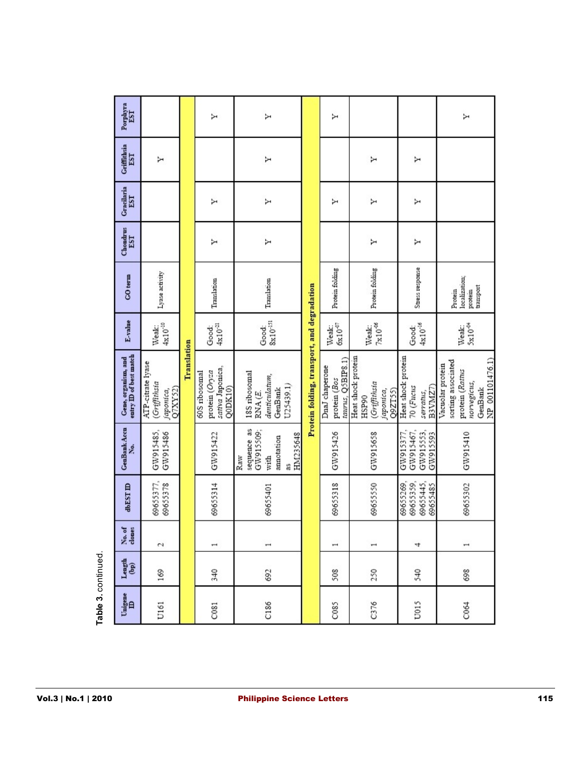| Porphyra<br>EST                                              |                                                          |             | Υ                                                              | Υ                                                                      |                                             | Υ                                                   |                                                                     |                                                         | Σ                                                                                                      |
|--------------------------------------------------------------|----------------------------------------------------------|-------------|----------------------------------------------------------------|------------------------------------------------------------------------|---------------------------------------------|-----------------------------------------------------|---------------------------------------------------------------------|---------------------------------------------------------|--------------------------------------------------------------------------------------------------------|
| Criffithsia<br>EST                                           | Σ                                                        |             |                                                                | Υ                                                                      |                                             |                                                     | Υ                                                                   | Σ                                                       |                                                                                                        |
| Gracilaria<br>EST                                            |                                                          |             | Υ                                                              | Σ                                                                      |                                             | Σ                                                   | Υ                                                                   | Σ                                                       |                                                                                                        |
| $\begin{array}{c} \text{Chondrus} \\ \text{EST} \end{array}$ |                                                          |             | Υ                                                              | ≻                                                                      |                                             |                                                     | Σ                                                                   | Σ                                                       |                                                                                                        |
| CO term                                                      | Lyase activity                                           |             | Translation                                                    | Translation                                                            |                                             | Protein folding                                     | Protein folding                                                     | Stress response                                         | localization;<br>transport<br>Protein<br>protein                                                       |
| E-value                                                      | Weak:<br>$4x10^{-10}$                                    |             | Good:<br>$4x10^{21}$                                           | $\frac{Good}{8x10}$ <sup>151</sup>                                     |                                             | Weak:<br>$6x10^{97}$                                | $7\times10^{-06}$<br>Weak:                                          | $4 \mathrm{x} 10^\mathrm{-16}$<br>Good:                 | 5x10 <sup>-04</sup><br>Weak:                                                                           |
| Gene, organism, and<br>entry ID of best match                | ATP-citrate lyase<br>(Griffithsia<br>QIXY52<br>japonica, | Translation | sativa Japonica,<br>protein (Oryza<br>60S ribosomal<br>Q0DK10) | 18S ribosomal<br>denticulatum,<br>U25439.1)<br>GenBank<br>RNA (E.      | Protein folding, transport, and degradation | taurus, Q5BIP8.1)<br>DnaJ chaperone<br>protein (Bos | Heat shock protein<br>(Griffithsia<br>Q9ZT55)<br>japonica,<br>HSP90 | Heat shock protein<br>B3VMZ7)<br>70 (Fucus<br>serratus, | NP 001101476.1)<br>sorting associated<br>Vacuolar protein<br>protein (Rattus<br>norvegicus,<br>GenBank |
|                                                              | GW915485,<br>GW915486                                    |             | GW915422                                                       | sequence as<br>GW915509;<br>HM235648<br>annotation<br>Raw<br>with<br>æ |                                             | GW915426                                            | GW915658                                                            | GW915467,<br>GW915553,<br>GW915593<br>GW915377,         | GW915410                                                                                               |
| <b>dbEST</b> ID                                              | 69655377,<br>69655378                                    |             | 69655314                                                       | 69655401                                                               |                                             | 69655318                                            | 69655550                                                            | 69655359,<br>69655445,<br>69655485<br>69655269,         | 69655302                                                                                               |
| No. of<br>clones                                             | $\sim$                                                   |             | $\overline{\phantom{a}}$                                       | $\overline{\phantom{a}}$                                               |                                             | $\mapsto$                                           | $\overline{\phantom{0}}$                                            | 4                                                       | $\overline{\phantom{0}}$                                                                               |
| $L$ ength $(bp)$                                             | 169                                                      |             | 340                                                            | 692                                                                    |                                             | 508                                                 | 250                                                                 | 540                                                     | 698                                                                                                    |
| Unigene $\overline{\mathbb{D}}$                              | U161                                                     |             | C081                                                           | C186                                                                   |                                             | C085                                                | C376                                                                | U015                                                    | C064                                                                                                   |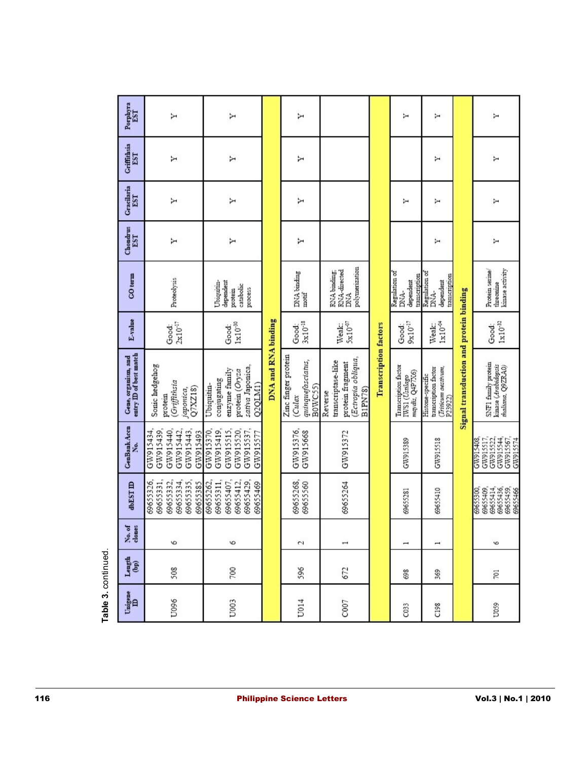|                     | Gracilaria<br>EST                                                     | Y                                                                         | Σ                                                                                           |                     | ↣                                                             |                                                                                            |                              | Y                                                         | ×                                                                         |                                         | Σ                                                                         |
|---------------------|-----------------------------------------------------------------------|---------------------------------------------------------------------------|---------------------------------------------------------------------------------------------|---------------------|---------------------------------------------------------------|--------------------------------------------------------------------------------------------|------------------------------|-----------------------------------------------------------|---------------------------------------------------------------------------|-----------------------------------------|---------------------------------------------------------------------------|
|                     | $\begin{array}{c} \text{Chondrus} \\ \text{EST} \end{array}$          | ≻                                                                         | ≻                                                                                           |                     | ↣                                                             |                                                                                            |                              |                                                           | ≻                                                                         |                                         | Σ                                                                         |
|                     | $CO$ term                                                             | Proteolysis                                                               | dependent<br><b>Ubiquitin</b><br>catabolic<br>process<br>protein                            |                     | DNA binding<br>$\operatorname{motif}$                         | polymerization<br>RNA-directed<br>RNA binding<br><b>DNA</b>                                |                              | Regulation of<br>transcription<br>dependent<br>DNA-       | Regulation of<br>transcription<br>dependent<br>DNA-                       |                                         | Protein serine<br>kinase activity<br>threonine                            |
|                     | E-value                                                               | $2 \mathrm{x} 10^{47}$<br>Good:                                           | $1\times10^{-30}$<br>Good:                                                                  |                     | $3\times10^{-18}$<br>Good:                                    | $5\times10^{07}$<br>Weak:                                                                  |                              | $9\times10^{-17}$<br>Good:                                | $1\times10^{-04}$<br>Weak:                                                |                                         | $1\times10^{-32}$<br>Good:                                                |
|                     | Gene, organism, and<br>entry ID of best match                         | Sonic hedgehog<br>Griffithsia<br>Q7XZ18)<br>japonica,<br>protein          | sativa Japonica,<br>enzyme family<br>protein (Oryza<br>conjugating<br>Q2QLM1)<br>Ubiquitin- | DNA and RNA binding | Zinc finger protein<br>quinquefasciatus,<br>B0WC55)<br>(Culex | (Ectropia obliqua,<br>transcriptase-like<br>protein fragment<br><b>B1PN78</b> )<br>Reverse | <b>Transcription factors</b> | Transcription factor<br>IWS1 (Ustilago<br>maydis, Q4P7X6) | Triticum aestivum,<br>transcription factor<br>Histone-specific<br>P23922) | Signal transduction and protein binding | SNF1 family protein<br>kinase (Arabidopsis<br>maliana, Q9ZRA0)            |
|                     | GenBank Accn<br>ž.                                                    | GW915439,<br>GW915440,<br>GW915443,<br>GW915442,<br>GW915434<br>GW915493  | GW915520,<br>GW915537,<br>GW915419,<br>GW915515,<br>GW915370<br>GW915577                    |                     | GW915376,<br>GW915668                                         | GW915372                                                                                   |                              | GW915389                                                  | GW915518                                                                  |                                         | GW915517,<br>GW915522,<br>GW915544,<br>GW915567,<br>S01516/N2<br>GW915574 |
|                     | <b>dbEST</b>                                                          | 69655335,<br>69655326,<br>69655331,<br>69655332,<br>69655334,<br>69655385 | 69655407,<br>69655429,<br>69655311,<br>69655412,<br>69655262,<br>69655469                   |                     | 69655268,<br>69655560                                         | 69655264                                                                                   |                              | 69655281                                                  | 69655410                                                                  |                                         | 69655414,<br>69655436,<br>69655459,<br>69655409<br>69655300<br>69655466   |
|                     | No. of<br>clones                                                      | 6                                                                         | $\circ$                                                                                     |                     | 2                                                             | $\overline{\phantom{a}}$                                                                   |                              | $\overline{\phantom{a}}$                                  | $\overline{ }$                                                            |                                         | 6                                                                         |
| Table 3. continued. | $L$ ength $(b$ p)                                                     | 508                                                                       | 700                                                                                         |                     | 596                                                           | 672                                                                                        |                              | 698                                                       | 369                                                                       |                                         | 701                                                                       |
|                     | $\begin{array}{c} \mathbf{U}\mathbf{nigene}\\ \mathbf{D} \end{array}$ | U096                                                                      | U003                                                                                        |                     | U014                                                          | C007                                                                                       |                              | C033                                                      | C198                                                                      |                                         | U059                                                                      |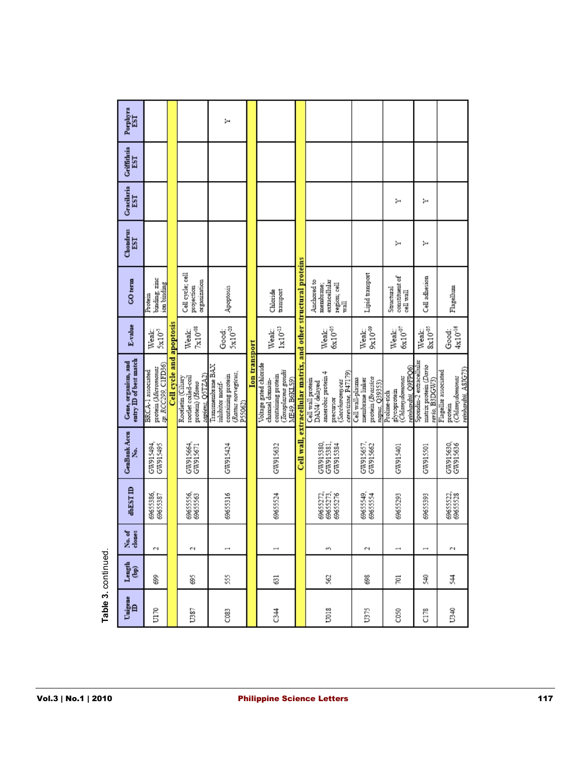| Porphyra<br>EST<br><b>Criffithsia</b><br>EST   |                                                                 |                |                                                                                 |                                                                                              |                      |                                                                                                        |                                                     |                                                                                                                 |                                                                            |                                                                     |                                                                    |                                                                           |
|------------------------------------------------|-----------------------------------------------------------------|----------------|---------------------------------------------------------------------------------|----------------------------------------------------------------------------------------------|----------------------|--------------------------------------------------------------------------------------------------------|-----------------------------------------------------|-----------------------------------------------------------------------------------------------------------------|----------------------------------------------------------------------------|---------------------------------------------------------------------|--------------------------------------------------------------------|---------------------------------------------------------------------------|
|                                                |                                                                 |                |                                                                                 |                                                                                              |                      |                                                                                                        |                                                     |                                                                                                                 |                                                                            |                                                                     |                                                                    |                                                                           |
| Gracilaria<br>EST                              |                                                                 |                |                                                                                 |                                                                                              |                      |                                                                                                        |                                                     |                                                                                                                 |                                                                            | ↣                                                                   | ↣                                                                  |                                                                           |
| Chondrus<br>EST                                |                                                                 |                |                                                                                 |                                                                                              |                      |                                                                                                        |                                                     |                                                                                                                 |                                                                            | ⊨                                                                   | ≻                                                                  |                                                                           |
| GO term                                        | binding, zinc<br>ion binding<br>Protein                         |                | Cell cycle; cell<br>organization<br>projection                                  | Apoptosis                                                                                    |                      | Chloride<br>transport                                                                                  |                                                     | Anchored to<br>extracellular<br>membrane;<br>region; cell<br>wall                                               | Lipid transport                                                            | constituent of<br>Structural<br>cell wall                           | Cell adhesion                                                      | Flagellum                                                                 |
| E-value                                        | 5x10 <sup>-5</sup><br>Weak:                                     | apoptosis      | $7 \mathrm{x} 10^{-08}$<br>Weak:                                                | $5\times10^{-20}$<br>Good:                                                                   |                      | $1\times10^{-13}$<br>Weak:                                                                             |                                                     | $6x10^{-05}$<br>Weak:                                                                                           | Weak:<br>9x10 <sup>-09</sup>                                               | $6 \times 10^{-07}$<br>Weak:                                        | $8\times10^{-05}$<br>Weak:                                         | $4 \mathrm{x} 10^\text{-16}$<br>Good:                                     |
| entry ID of best match<br>Gene, organism, and  | sp. RCC299, CIFD36)<br>protein (Micromonas<br>BRCA-1 associated | Cell cycle and | sapiens, QSTZA2)<br>Rootletin (Ciliary<br>rootlet coiled-coil<br>protein) (Homo | Transmembrane BAX<br>(Rattus norvegicus,<br>contaming protein<br>inhibitor motif-<br>P55062) | <b>Ion</b> transport | Voltage gated chloride<br>(Toxoplasma gondii<br>containing protein<br>channel domain-<br>ME49, B6KLS9) | extracellular matrix, and other structural proteins | cerevisiae, P47179)<br>anaerobic protein 4<br>Cell wall protein<br>(Saccharonyces<br>DAN4/ delayed<br>precursor | protein (Brassica<br>Cell wall-plasma<br>membrane linker<br>париs, Q39353) | emhardiii, Q9FPQ6)<br>(Chlamydomonas<br>glycoprotem<br>Proline-rich | Spondin-2 extracellular<br>matrix protein (Dario<br>rerio, B3DGW3) | reinhardtii, A8JG73)<br>Flagellar associated<br>protein<br>(Chlanydomonas |
| <b>GenBank Accu</b><br>ż.                      | GW915494,<br>GW915495                                           |                | GW915664,<br>GW915671                                                           | GW915424                                                                                     |                      | GW915632                                                                                               | Cell wall,                                          | GW915381,<br>GW915380<br>GW915384                                                                               | GW915657,<br>GW915662                                                      | GW915401                                                            | GW915501                                                           | GW915630,<br>GW915636                                                     |
| dbESTID                                        | 69655386,<br>69655387                                           |                | 6965556,<br>69655563                                                            | 69655316                                                                                     |                      | 69655524                                                                                               |                                                     | 69655273,<br>69655273,<br>69655276                                                                              | 69655549<br>69655554                                                       | 69655293                                                            | 69655393                                                           | 69655522,<br>69655528                                                     |
| No. of<br>clones                               | $\sim$                                                          |                | $\sim$                                                                          | Ţ                                                                                            |                      | $\overline{\phantom{a}}$                                                                               |                                                     | S                                                                                                               | C)                                                                         | $\rightarrow$                                                       | $\overline{\phantom{a}}$                                           | $\sim$                                                                    |
| Length $(bp)$                                  | 699                                                             |                | 695                                                                             | 55                                                                                           |                      | 631                                                                                                    |                                                     | 562                                                                                                             | 698                                                                        | 701                                                                 | S40                                                                | ¥                                                                         |
| $\overset{\text{U} \text{migene}}{\mathbf{D}}$ | U170                                                            |                | U387                                                                            | C083                                                                                         |                      | 34                                                                                                     |                                                     | U018                                                                                                            | U375                                                                       | C050                                                                | C178                                                               | U340                                                                      |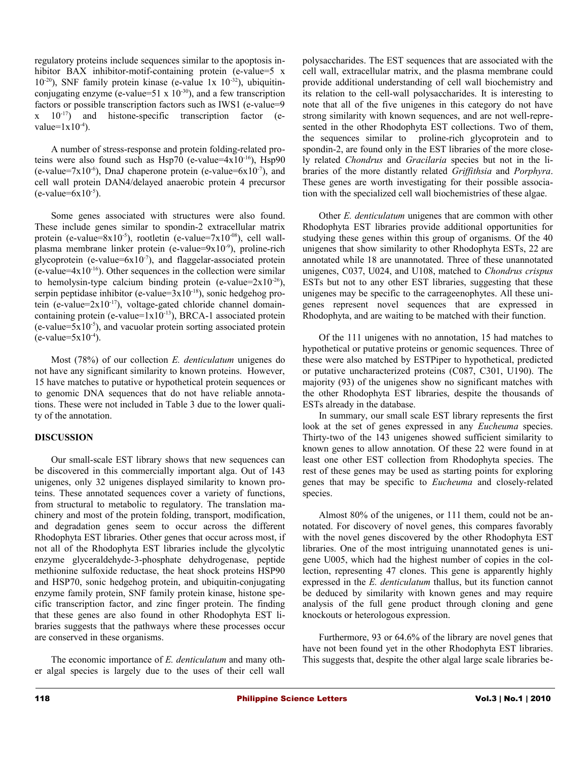regulatory proteins include sequences similar to the apoptosis inhibitor BAX inhibitor-motif-containing protein (e-value=5 x  $10^{-20}$ ), SNF family protein kinase (e-value 1x  $10^{-32}$ ), ubiquitinconjugating enzyme (e-value=51 x  $10^{-30}$ ), and a few transcription factors or possible transcription factors such as IWS1 (e-value=9  $x = 10^{-17}$  and histone-specific transcription factor (evalue= $1x10^{-4}$ ).

A number of stress-response and protein folding-related proteins were also found such as  $Hsp70$  (e-value= $4x10^{-16}$ ),  $Hsp90$ (e-value=7x10<sup>-6</sup>), DnaJ chaperone protein (e-value=6x10<sup>-7</sup>), and cell wall protein DAN4/delayed anaerobic protein 4 precursor  $(e$ -value=6x10<sup>-5</sup>).

Some genes associated with structures were also found. These include genes similar to spondin-2 extracellular matrix protein (e-value=8x10<sup>-5</sup>), rootletin (e-value=7x10<sup>-08</sup>), cell wallplasma membrane linker protein (e-value= $9x10^{-9}$ ), proline-rich glycoprotein (e-value= $6x10^{-7}$ ), and flaggelar-associated protein  $(e$ -value=4x10<sup>-16</sup>). Other sequences in the collection were similar to hemolysin-type calcium binding protein (e-value= $2x10^{-26}$ ), serpin peptidase inhibitor (e-value= $3x10^{-18}$ ), sonic hedgehog protein (e-value= $2x10^{-17}$ ), voltage-gated chloride channel domaincontaining protein (e-value= $1x10^{-13}$ ), BRCA-1 associated protein  $(e$ -value=5x10<sup>-5</sup>), and vacuolar protein sorting associated protein  $(e$ -value=5x10<sup>-4</sup>).

Most (78%) of our collection *E. denticulatum* unigenes do not have any significant similarity to known proteins. However, 15 have matches to putative or hypothetical protein sequences or to genomic DNA sequences that do not have reliable annotations. These were not included in Table 3 due to the lower quality of the annotation.

### **DISCUSSION**

Our small-scale EST library shows that new sequences can be discovered in this commercially important alga. Out of 143 unigenes, only 32 unigenes displayed similarity to known proteins. These annotated sequences cover a variety of functions, from structural to metabolic to regulatory. The translation machinery and most of the protein folding, transport, modification, and degradation genes seem to occur across the different Rhodophyta EST libraries. Other genes that occur across most, if not all of the Rhodophyta EST libraries include the glycolytic enzyme glyceraldehyde-3-phosphate dehydrogenase, peptide methionine sulfoxide reductase, the heat shock proteins HSP90 and HSP70, sonic hedgehog protein, and ubiquitin-conjugating enzyme family protein, SNF family protein kinase, histone specific transcription factor, and zinc finger protein. The finding that these genes are also found in other Rhodophyta EST libraries suggests that the pathways where these processes occur are conserved in these organisms.

The economic importance of *E. denticulatum* and many other algal species is largely due to the uses of their cell wall polysaccharides. The EST sequences that are associated with the cell wall, extracellular matrix, and the plasma membrane could provide additional understanding of cell wall biochemistry and its relation to the cell-wall polysaccharides. It is interesting to note that all of the five unigenes in this category do not have strong similarity with known sequences, and are not well-represented in the other Rhodophyta EST collections. Two of them, the sequences similar to proline-rich glycoprotein and to spondin-2, are found only in the EST libraries of the more closely related *Chondrus* and *Gracilaria* species but not in the libraries of the more distantly related *Griffithsia* and *Porphyra*. These genes are worth investigating for their possible association with the specialized cell wall biochemistries of these algae.

Other *E. denticulatum* unigenes that are common with other Rhodophyta EST libraries provide additional opportunities for studying these genes within this group of organisms. Of the 40 unigenes that show similarity to other Rhodophyta ESTs, 22 are annotated while 18 are unannotated. Three of these unannotated unigenes, C037, U024, and U108, matched to *Chondrus crispus* ESTs but not to any other EST libraries, suggesting that these unigenes may be specific to the carrageenophytes. All these unigenes represent novel sequences that are expressed in Rhodophyta, and are waiting to be matched with their function.

Of the 111 unigenes with no annotation, 15 had matches to hypothetical or putative proteins or genomic sequences. Three of these were also matched by ESTPiper to hypothetical, predicted or putative uncharacterized proteins (C087, C301, U190). The majority (93) of the unigenes show no significant matches with the other Rhodophyta EST libraries, despite the thousands of ESTs already in the database.

In summary, our small scale EST library represents the first look at the set of genes expressed in any *Eucheuma* species. Thirty-two of the 143 unigenes showed sufficient similarity to known genes to allow annotation. Of these 22 were found in at least one other EST collection from Rhodophyta species. The rest of these genes may be used as starting points for exploring genes that may be specific to *Eucheuma* and closely-related species.

Almost 80% of the unigenes, or 111 them, could not be annotated. For discovery of novel genes, this compares favorably with the novel genes discovered by the other Rhodophyta EST libraries. One of the most intriguing unannotated genes is unigene U005, which had the highest number of copies in the collection, representing 47 clones. This gene is apparently highly expressed in the *E. denticulatum* thallus, but its function cannot be deduced by similarity with known genes and may require analysis of the full gene product through cloning and gene knockouts or heterologous expression.

Furthermore, 93 or 64.6% of the library are novel genes that have not been found yet in the other Rhodophyta EST libraries. This suggests that, despite the other algal large scale libraries be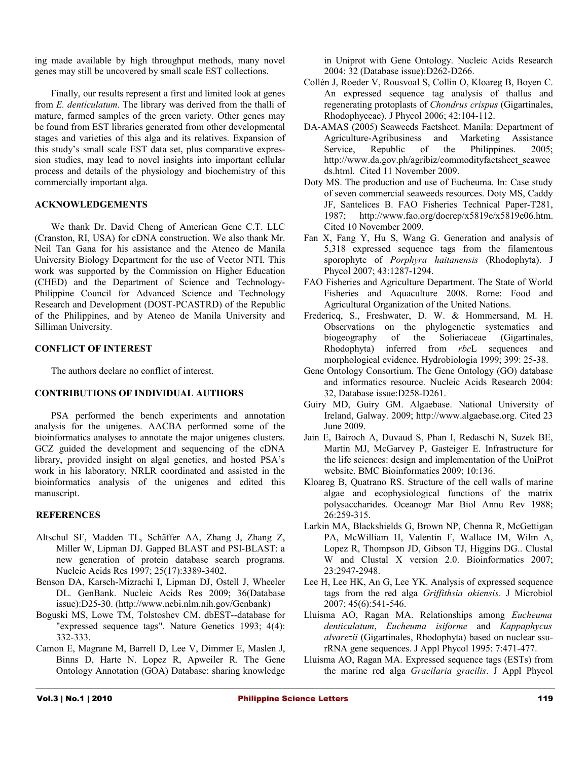ing made available by high throughput methods, many novel genes may still be uncovered by small scale EST collections.

Finally, our results represent a first and limited look at genes from *E. denticulatum*. The library was derived from the thalli of mature, farmed samples of the green variety. Other genes may be found from EST libraries generated from other developmental stages and varieties of this alga and its relatives. Expansion of this study's small scale EST data set, plus comparative expression studies, may lead to novel insights into important cellular process and details of the physiology and biochemistry of this commercially important alga.

### **ACKNOWLEDGEMENTS**

We thank Dr. David Cheng of American Gene C.T. LLC (Cranston, RI, USA) for cDNA construction. We also thank Mr. Neil Tan Gana for his assistance and the Ateneo de Manila University Biology Department for the use of Vector NTI. This work was supported by the Commission on Higher Education (CHED) and the Department of Science and Technology-Philippine Council for Advanced Science and Technology Research and Development (DOST-PCASTRD) of the Republic of the Philippines, and by Ateneo de Manila University and Silliman University.

### **CONFLICT OF INTEREST**

The authors declare no conflict of interest.

### **CONTRIBUTIONS OF INDIVIDUAL AUTHORS**

PSA performed the bench experiments and annotation analysis for the unigenes. AACBA performed some of the bioinformatics analyses to annotate the major unigenes clusters. GCZ guided the development and sequencing of the cDNA library, provided insight on algal genetics, and hosted PSA's work in his laboratory. NRLR coordinated and assisted in the bioinformatics analysis of the unigenes and edited this manuscript.

### **REFERENCES**

- Altschul SF, Madden TL, Schäffer AA, Zhang J, Zhang Z, Miller W, Lipman DJ. Gapped BLAST and PSI-BLAST: a new generation of protein database search programs. Nucleic Acids Res 1997; 25(17):3389-3402.
- Benson DA, Karsch-Mizrachi I, Lipman DJ, Ostell J, Wheeler DL. GenBank. Nucleic Acids Res 2009; 36(Database issue):D25-30. (http://www.ncbi.nlm.nih.gov/Genbank)
- Boguski MS, Lowe TM, Tolstoshev CM. dbEST--database for "expressed sequence tags". Nature Genetics 1993; 4(4): 332-333.
- Camon E, Magrane M, Barrell D, Lee V, Dimmer E, Maslen J, Binns D, Harte N. Lopez R, Apweiler R. The Gene Ontology Annotation (GOA) Database: sharing knowledge

in Uniprot with Gene Ontology. Nucleic Acids Research 2004: 32 (Database issue):D262-D266.

- Collén J, Roeder V, Rousvoal S, Collin O, Kloareg B, Boyen C. An expressed sequence tag analysis of thallus and regenerating protoplasts of *Chondrus crispus* (Gigartinales, Rhodophyceae). J Phycol 2006; 42:104-112.
- DA-AMAS (2005) Seaweeds Factsheet. Manila: Department of Agriculture-Agribusiness and Marketing Assistance Service, Republic of the Philippines. 2005; http://www.da.gov.ph/agribiz/commodityfactsheet\_seawee ds.html. Cited 11 November 2009.
- Doty MS. The production and use of Eucheuma. In: Case study of seven commercial seaweeds resources. Doty MS, Caddy JF, Santelices B. FAO Fisheries Technical Paper-T281, 1987; http://www.fao.org/docrep/x5819e/x5819e06.htm. Cited 10 November 2009.
- Fan X, Fang Y, Hu S, Wang G. Generation and analysis of 5,318 expressed sequence tags from the filamentous sporophyte of *Porphyra haitanensis* (Rhodophyta). J Phycol 2007; 43:1287-1294.
- FAO Fisheries and Agriculture Department. The State of World Fisheries and Aquaculture 2008. Rome: Food and Agricultural Organization of the United Nations.
- Fredericq, S., Freshwater, D. W. & Hommersand, M. H. Observations on the phylogenetic systematics and biogeography of the Solieriaceae (Gigartinales, Rhodophyta) inferred from *rbc*L sequences and morphological evidence. Hydrobiologia 1999; 399: 25-38.
- Gene Ontology Consortium. The Gene Ontology (GO) database and informatics resource. Nucleic Acids Research 2004: 32, Database issue:D258-D261.
- Guiry MD, Guiry GM. Algaebase. National University of Ireland, Galway. 2009; http://www.algaebase.org. Cited 23 June 2009.
- Jain E, Bairoch A, Duvaud S, Phan I, Redaschi N, Suzek BE, Martin MJ, McGarvey P, Gasteiger E. Infrastructure for the life sciences: design and implementation of the UniProt website. BMC Bioinformatics 2009; 10:136.
- Kloareg B, Quatrano RS. Structure of the cell walls of marine algae and ecophysiological functions of the matrix polysaccharides. Oceanogr Mar Biol Annu Rev 1988; 26:259-315.
- Larkin MA, Blackshields G, Brown NP, Chenna R, McGettigan PA, McWilliam H, Valentin F, Wallace IM, Wilm A, Lopez R, Thompson JD, Gibson TJ, Higgins DG.. Clustal W and Clustal X version 2.0. Bioinformatics 2007; 23:2947-2948.
- Lee H, Lee HK, An G, Lee YK. Analysis of expressed sequence tags from the red alga *Griffithsia okiensis*. J Microbiol 2007; 45(6):541-546.
- Lluisma AO, Ragan MA. Relationships among *Eucheuma denticulatum*, *Eucheuma isiforme* and *Kappaphycus alvarezii* (Gigartinales, Rhodophyta) based on nuclear ssurRNA gene sequences. J Appl Phycol 1995: 7:471-477.
- Lluisma AO, Ragan MA. Expressed sequence tags (ESTs) from the marine red alga *Gracilaria gracilis*. J Appl Phycol